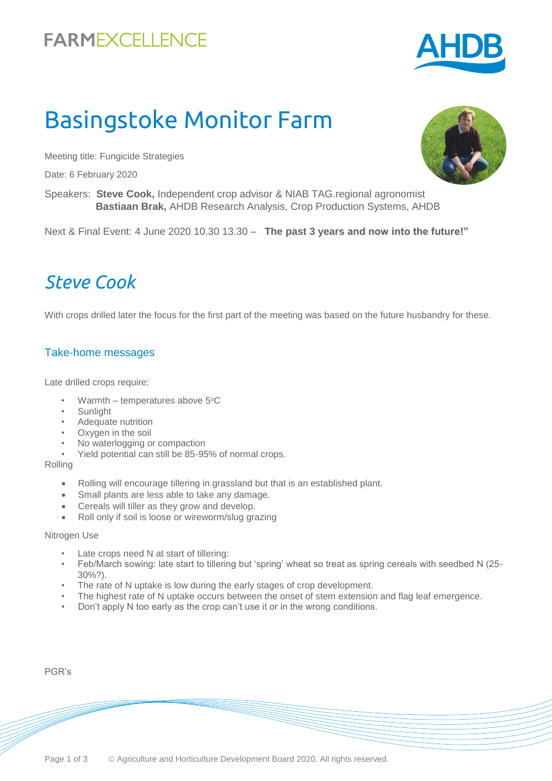# **FARMEXCELLENCE**

# Basingstoke Monitor Farm

Meeting title: Fungicide Strategies

Date: 6 February 2020

Speakers: **Steve Cook,** Independent crop advisor & NIAB TAG.regional agronomist  **Bastiaan Brak,** AHDB Research Analysis, Crop Production Systems, AHDB

Next & Final Event: 4 June 2020 10.30 13.30 – **The past 3 years and now into the future!"**

### *Steve Cook*

With crops drilled later the focus for the first part of the meeting was based on the future husbandry for these.

#### Take-home messages

Late drilled crops require:

- Warmth temperatures above  $5^{\circ}$ C
- **Sunlight**
- Adequate nutrition
- Oxygen in the soil
- No waterlogging or compaction
- Yield potential can still be 85-95% of normal crops.

Rolling

- Rolling will encourage tillering in grassland but that is an established plant.
- Small plants are less able to take any damage.
- Cereals will tiller as they grow and develop.
- Roll only if soil is loose or wireworm/slug grazing

#### Nitrogen Use

- Late crops need N at start of tillering:
- Feb/March sowing: late start to tillering but 'spring' wheat so treat as spring cereals with seedbed N (25- 30%?).
- The rate of N uptake is low during the early stages of crop development.
- The highest rate of N uptake occurs between the onset of stem extension and flag leaf emergence.
- Don't apply N too early as the crop can't use it or in the wrong conditions.

PGR's



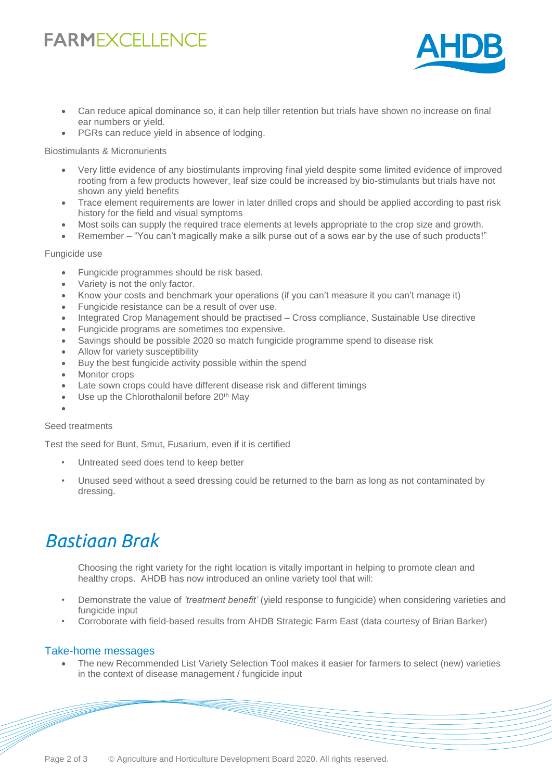# **FARMEXCELLENCE**



- Can reduce apical dominance so, it can help tiller retention but trials have shown no increase on final ear numbers or yield.
- PGRs can reduce yield in absence of lodging.

#### Biostimulants & Micronurients

- Very little evidence of any biostimulants improving final yield despite some limited evidence of improved rooting from a few products however, leaf size could be increased by bio-stimulants but trials have not shown any yield benefits
- Trace element requirements are lower in later drilled crops and should be applied according to past risk history for the field and visual symptoms
- Most soils can supply the required trace elements at levels appropriate to the crop size and growth.
- Remember "You can't magically make a silk purse out of a sows ear by the use of such products!"

#### Fungicide use

- Fungicide programmes should be risk based.
- Variety is not the only factor.
- Know your costs and benchmark your operations (if you can't measure it you can't manage it)
- Fungicide resistance can be a result of over use.
- Integrated Crop Management should be practised Cross compliance, Sustainable Use directive
- Fungicide programs are sometimes too expensive.
- Savings should be possible 2020 so match fungicide programme spend to disease risk
- Allow for variety susceptibility
- Buy the best fungicide activity possible within the spend
- Monitor crops
- Late sown crops could have different disease risk and different timings
- Use up the Chlorothalonil before 20<sup>th</sup> May
- $\bullet$

#### Seed treatments

Test the seed for Bunt, Smut, Fusarium, even if it is certified

- Untreated seed does tend to keep better
- Unused seed without a seed dressing could be returned to the barn as long as not contaminated by dressing.

### *Bastiaan Brak*

Choosing the right variety for the right location is vitally important in helping to promote clean and healthy crops. AHDB has now introduced an online variety tool that will:

- Demonstrate the value of *'treatment benefit'* (yield response to fungicide) when considering varieties and fungicide input
- Corroborate with field-based results from AHDB Strategic Farm East (data courtesy of Brian Barker)

#### Take-home messages

 The new Recommended List Variety Selection Tool makes it easier for farmers to select (new) varieties in the context of disease management / fungicide input